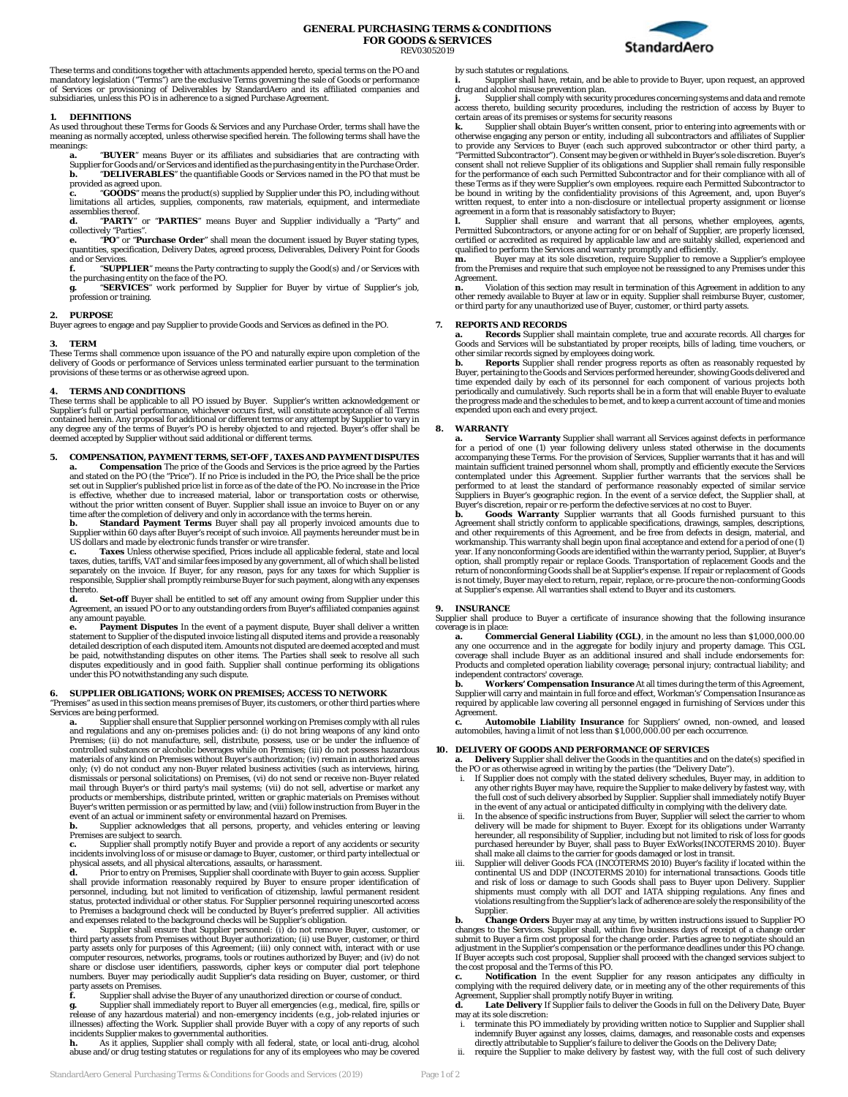

These terms and conditions together with attachments appended hereto, special terms on the PO and mandatory legislation ("Terms") are the exclusive Terms governing the sale of Goods or performance of Services or provisioning of Deliverables by StandardAero and its affiliated companies and subsidiaries, unless this PO is in adherence to a signed Purchase Agreement.

#### **1. DEFINITIONS**

As used throughout these Terms for Goods & Services and any Purchase Order, terms shall have the meaning as normally accepted, unless otherwise specified herein. The following terms shall have the meanings:

**a.** "**BUYER**" means Buyer or its affiliates and subsidiaries that are contracting with Supplier for Goods and/or Services and identified as the purchasing entity in the Purchase Order. **b.** "**DELIVERABLES**" the quantifiable Goods or Services named in the PO that must be provided as agreed upon.

"**GOODS**" means the product(s) supplied by Supplier under this PO, including without limitations all articles, supplies, components, raw materials, equipment, and intermediate assemblies thereof.

**d.** "**PARTY**" or "**PARTIES**" means Buyer and Supplier individually a "Party" and collectively "Parties".

"PO" or "Purchase Order" shall mean the document issued by Buyer stating types quantities, specification, Delivery Dates, agreed process, Deliverables, Delivery Point for Goods and or Services.

**f.** "**SUPPLIER**" means the Party contracting to supply the Good(s) and /or Services with the purchasing entity on the face of the PO.

**g.** "**SERVICES**" work performed by Supplier for Buyer by virtue of Supplier's job, profession or training.

# **2. PURPOSE**

Buyer agrees to engage and pay Supplier to provide Goods and Services as defined in the PO.

#### **3. TERM**

These Terms shall commence upon issuance of the PO and naturally expire upon completion of the delivery of Goods or performance of Services unless terminated earlier pursuant to the termination provisions of these terms or as otherwise agreed upon.

#### **4. TERMS AND CONDITIONS**

These terms shall be applicable to all PO issued by Buyer. Supplier's written acknowledgement or Supplier's full or partial performance, whichever occurs first, will constitute acceptance of all Terms contained herein. Any proposal for additional or different terms or any attempt by Supplier to vary in<br>any degree any of the terms of Buyer's PO is hereby objected to and rejected. Buyer's offer shall be<br>deemed accepted by

**5. COMPENSATION, PAYMENT TERMS, SET-OFF, TAXES AND PAYMENT DISPUTES**<br>**a.** Compensation The price of the Goods and Services is the price agreed by the Parties<br>and stated on the PO (the "Price"). If no Price is included in set out in Supplier's published price list in force as of the date of the PO. No increase in the Price is effective, whether due to increased material, labor or transportation costs or otherwise, without the prior written consent of Buyer. Supplier shall issue an invoice to Buyer on or any

time after the completion of delivery and only in accordance with the terms herein. **b. Standard Payment Terms** Buyer shall pay all properly invoiced amounts due to Supplier within 60 days after Buyer's receipt of such invoice. All payments hereunder must be in US dollars and made by electronic funds transfer or wire transfer.

Taxes Unless otherwise specified, Prices include all applicable federal, state and local taxes, duties, tariffs, VAT and similar fees imposed by any government, all of which shall be listed separately on the invoice. If Buyer, for any reason, pays for any taxes for which Supplier is responsible, Supplier shall promptly reimburse Buyer for such payment, along with any expenses thereto.

**d. Set-off** Buyer shall be entitled to set off any amount owing from Supplier under this Agreement, an issued PO or to any outstanding orders from Buyer's affiliated companies against any amount payable.

Payment Disputes In the event of a payment dispute, Buyer shall deliver a written statement to Supplier of the disputed invoice listing all disputed items and provide a reasonably detailed description of each disputed item. Amounts not disputed are deemed accepted and must<br>be paid, notwithstanding disputes on other items. The Parties shall seek to resolve all such<br>disputes expeditiously and in good under this PO notwithstanding any such dispute.

# **6. SUPPLIER OBLIGATIONS; WORK ON PREMISES; ACCESS TO NETWORK**

"Premises" as used in this section means premises of Buyer, its customers, or other third parties where Services are being performed.

**a.** Supplier shall ensure that Supplier personnel working on Premises comply with all rules<br>and regulations and any on-premises policies and: (i) do not bring weapons of any kind onto<br>Premises; (ii) do not manufacture, se materials of any kind on Premises without Buyer's authorization; (iv) remain in authorized areas only; (v) do not conduct any non-Buyer related business activities (such as interviews, hiring, dismissals or personal solicitations) on Premises, (vi) do not send or receive non-Buyer related mail through Buyer's or third party's mail systems; (vii) do not sell, advertise or market any products or memberships, distribute printed, written or graphic materials on Premises without Buyer's written permission or as permitted by law; and (viii) follow instruction from Buyer in the event of an actual or imminent safety or environmental hazard on Premises.

Supplier acknowledges that all persons, property, and vehicles entering or leaving Premises are subject to search. **c.** Supplier shall promptly notify Buyer and provide a report of any accidents or security

incidents involving loss of or misuse or damage to Buyer, customer, or third party intellectual or physical assets, and all physical altercations, assaults, or harassment.

**d.** Prior to entry on Premises, Supplier shall coordinate with Buyer to gain access. Supplier<br>shall provide information reasonably required by Buyer to ensure proper identification of<br>personnel, including, but not limited status, protected individual or other status. For Supplier personnel requiring unescorted access<br>to Premises a background check will be conducted by Buyer's preferred supplier. All activities<br>and expenses related to the b

**e.** Supplier shall ensure that Supplier personnel: (i) do not remove Buyer, customer, or third party assets from Premises without Buyer authorization; (ii) use Buyer, customer, or third party assets only for purposes of this Agreement; (iii) only connect with, interact with or use computer resources, networks, programs, tools or routines authorized by Buyer; and (iv) do not share or disclose user identifiers, passwords, cipher keys or computer dial port telephone numbers. Buyer may periodically audit Supplier's data residing on Buyer, customer, or third party assets on Premis

**f.** Supplier shall advise the Buyer of any unauthorized direction or course of conduct.

g. Supplier shall immediately report to Buyer all emergencies (e.g., medical, fire, spills or release of any hazardous material) and non-emergency incidents (e.g., job-related injuries or illnesses) affecting the Work. Supplier shall provide Buyer with a copy of any reports of such incidents Supplier makes to governmental authorities. **h.** As it applies, Supplier shall comply with all federal, state, or local anti-drug, alcohol

abuse and/or drug testing statutes or regulations for any of its employees who may be covered

by such statutes or regulations.

Supplier shall have, retain, and be able to provide to Buyer, upon request, an approved drug and alcohol misuse prevention plan.<br>**j.** Supplier shall comply with security procedures concerning systems and data and remote

access thereto, building security procedures, including the restriction of access by Buyer to certain areas of its premises or systems for security reasons

**k.** Supplier shall obtain Buyer's written consent, prior to entering into agreements with or otherwise engaging any person or entity, including all subcontractors and affiliates of Supplier to provide any Services to Buyer (each such approved subcontractor or other third party, a "Permitted Subcontractor"). Consent may be given or withheld in Buyer's sole discretion. Buyer's consent shall not relieve Supplier of its obligations and Supplier shall remain fully responsible for the performance of each such Permitted Subcontractor and for their compliance with all of these Terms as if they were Supplier's own employees. require each Permitted Subcontractor to<br>be bound in writing by the confidentiality provisions of this Agreement, and, upon Buyer's<br>written request, to enter into a nonagreement in a form that is reasonably satisfactory to Buyer;

**I.** Supplier shall ensure and warrant that all persons, whether employees, agents, Permitted Subcontractors, or anyone acting for or on behalf of Supplier, are properly licensed, certified or accredited as required by ap

from the Premises and require that such employee not be reassigned to any Premises under this Agreement.

**n.** Violation of this section may result in termination of this Agreement in addition to any other remedy available to Buyer at law or in equity. Supplier shall reimburse Buyer, customer, or third party for any unauthoriz

#### **7. REPORTS AND RECORDS**

**a. Records** Supplier shall maintain complete, true and accurate records. All charges for Goods and Services will be substantiated by proper receipts, bills of lading, time vouchers, or other similar records signed by employees doing work. **b. Reports** Supplier shall render progress reports as often as reasonably requested by

Buyer, pertaining to the Goods and Services performed hereunder, showing Goods delivered and time expended daily by each of its personnel for each component of various projects both periodically and cumulatively. Such reports shall be in a form that will enable Buyer to evaluate the progress made and the schedules to be met, and to keep a current account of time and monies expended upon each and every project.

#### **8. WARRANTY**

**Service Warranty** Supplier shall warrant all Services against defects in performance for a period of one (1) year following delivery unless stated otherwise in the documents accompanying these Terms. For the provision of Services, Supplier warrants that it has and will maintain sufficient trained personnel whom shall, promptly and efficiently execute the Services contemplated under this Agreement. Supplier further warrants that the services shall be performed to at least the standard of performance reasonably expected of similar service Suppliers in Buyer's geographic region. In the event of a service defect, the Supplier shall, at Buyer's discretion, repair or re-perform the defective services at no cost to Buyer.

**b. Goods Warranty** Supplier warrants that all Goods furnished pursuant to this<br>Agreement shall strictly conform to applicable specifications, drawings, samples, descriptions,<br>and other requirements of this Agreement, and workmanship. This warranty shall begin upon final acceptance and extend for a period of one (1) year. If any nonconforming Goods are identified within the warranty period, Supplier, at Buyer's option, shall promptly repair or replace Goods. Transportation of replacement Goods and the return of nonconforming Goods shall be at Supplier's expense. If repair or replacement of Goods is not timely, Buyer may elect to return, repair, replace, or re-procure the non-conforming Goods at Supplier's expense. All warranties shall extend to Buyer and its customers.

#### **9. INSURANCE**

Supplier shall produce to Buyer a certificate of insurance showing that the following insurance coverage is in place:

**a.** Commercial General Liability (CGL), in the amount no less than \$1,000,000.00<br>any one occurrence and in the aggregate for bodily injury and property damage. This CGL<br>coverage shall include Buyer as an additional insure Products and completed operation liability coverage; personal injury; contractual liability; and independent contractors' coverage.

**b. Workers' Compensation Insurance** At all times during the term of this Agreement, Supplier will carry and maintain in full force and effect, Workman's' Compensation Insurance as required by applicable law covering all personnel engaged in furnishing of Services under this **Agreement** 

**c. Automobile Liability Insurance** for Suppliers' owned, non-owned, and leased automobiles, having a limit of not less than \$1,000,000.00 per each occurrence.

# **10. DELIVERY OF GOODS AND PERFORMANCE OF SERVICES**

**a. Delivery** Supplier shall deliver the Goods in the quantities and on the date(s) specified in<br>the PO or as otherwise agreed in writing by the parties (the "Delivery Date").<br>i. If Supplier does not comply with the stated

- any other rights Buyer may have, require the Supplier to make delivery by fastest way, with the full cost of such delivery absorbed by Supplier. Supplier shall immediately notify Buyer
- in the event of any actual or anticipated difficulty in complying with the delivery date.<br>ii. In the absence of specific instructions from Buyer, Supplier will select the carrier to whom<br>delivery will be made for shipment hereunder, all responsibility of Supplier, including but not limited to risk of loss for goods<br>purchased hereunder by Buyer, shall pass to Buyer ExWorks(INCOTERMS 2010). Buyer<br>shall make all claims to the carrier for goods
- continental US and DDP (INCOTERMS 2010) for international transactions. Goods title<br>and risk of loss or damage to such Goods shall pass to Buyer upon Delivery. Supplier<br>shipments must comply with all DOT and IATA shipping Supplier.

**b. Change Orders** Buyer may at any time, by written instructions issued to Supplier PO<br>changes to the Services. Supplier shall, within five business days of receipt of a change order<br>submit to Buyer a firm cost proposal f adjustment in the Supplier's compensation or the performance deadlines under this PO change. If Buyer accepts such cost proposal, Supplier shall proceed with the changed services subject to

the cost proposal and the Terms of this PO.<br>**c. Notification** In the event Supplier for any reason anticipates any difficulty in<br>complying with the required delivery date, or in meeting any of the other requirements of thi

**d. Late Delivery** If Supplier fails to deliver the Goods in full on the Delivery Date, Buyer may at its sole discretion:

- i. terminate this PO immediately by providing written notice to Supplier and Supplier shall indemnify Buyer against any losses, claims, damages, and reasonable costs and expenses<br>directly attributable to Supplier's failure to deliver the Goods on the Delivery Date;<br>i. require the Supplier to make delivery by fast
-